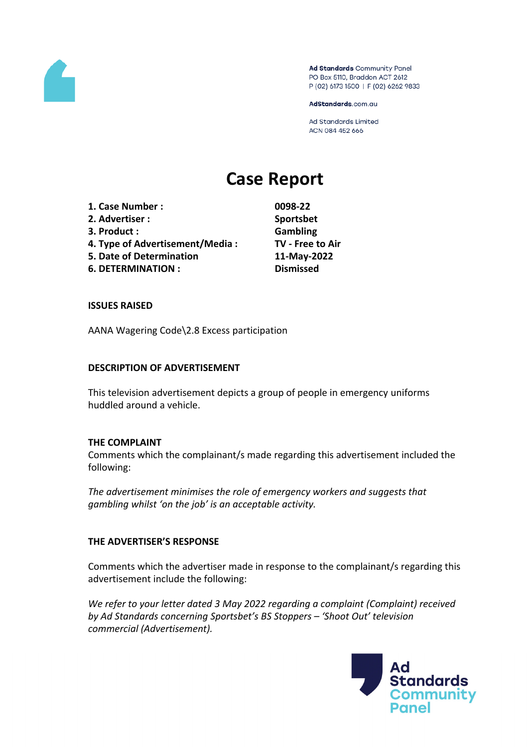

Ad Standards Community Panel PO Box 5110, Braddon ACT 2612 P (02) 6173 1500 | F (02) 6262 9833

AdStandards.com.au

Ad Standards Limited ACN 084 452 666

# **Case Report**

**1. Case Number : 0098-22 2. Advertiser : Sportsbet 3. Product : Gambling 4. Type of Advertisement/Media : TV - Free to Air 5. Date of Determination 11-May-2022 6. DETERMINATION : Dismissed**

#### **ISSUES RAISED**

AANA Wagering Code\2.8 Excess participation

#### **DESCRIPTION OF ADVERTISEMENT**

This television advertisement depicts a group of people in emergency uniforms huddled around a vehicle.

#### **THE COMPLAINT**

Comments which the complainant/s made regarding this advertisement included the following:

*The advertisement minimises the role of emergency workers and suggests that gambling whilst 'on the job' is an acceptable activity.*

# **THE ADVERTISER'S RESPONSE**

Comments which the advertiser made in response to the complainant/s regarding this advertisement include the following:

*We refer to your letter dated 3 May 2022 regarding a complaint (Complaint) received by Ad Standards concerning Sportsbet's BS Stoppers – 'Shoot Out' television commercial (Advertisement).*

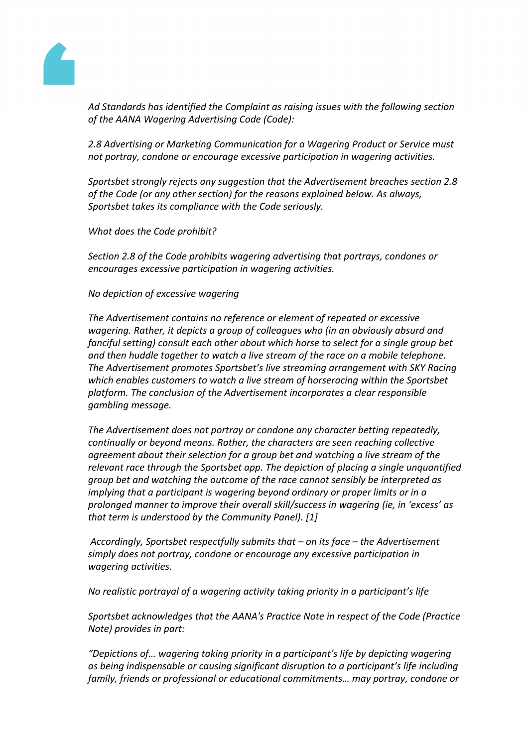

*Ad Standards has identified the Complaint as raising issues with the following section of the AANA Wagering Advertising Code (Code):*

*2.8 Advertising or Marketing Communication for a Wagering Product or Service must not portray, condone or encourage excessive participation in wagering activities.*

*Sportsbet strongly rejects any suggestion that the Advertisement breaches section 2.8 of the Code (or any other section) for the reasons explained below. As always, Sportsbet takes its compliance with the Code seriously.*

*What does the Code prohibit?*

*Section 2.8 of the Code prohibits wagering advertising that portrays, condones or encourages excessive participation in wagering activities.*

#### *No depiction of excessive wagering*

*The Advertisement contains no reference or element of repeated or excessive wagering. Rather, it depicts a group of colleagues who (in an obviously absurd and fanciful setting) consult each other about which horse to select for a single group bet and then huddle together to watch a live stream of the race on a mobile telephone. The Advertisement promotes Sportsbet's live streaming arrangement with SKY Racing which enables customers to watch a live stream of horseracing within the Sportsbet platform. The conclusion of the Advertisement incorporates a clear responsible gambling message.*

*The Advertisement does not portray or condone any character betting repeatedly, continually or beyond means. Rather, the characters are seen reaching collective agreement about their selection for a group bet and watching a live stream of the relevant race through the Sportsbet app. The depiction of placing a single unquantified group bet and watching the outcome of the race cannot sensibly be interpreted as implying that a participant is wagering beyond ordinary or proper limits or in a prolonged manner to improve their overall skill/success in wagering (ie, in 'excess' as that term is understood by the Community Panel). [1]*

*Accordingly, Sportsbet respectfully submits that – on its face – the Advertisement simply does not portray, condone or encourage any excessive participation in wagering activities.*

*No realistic portrayal of a wagering activity taking priority in a participant's life*

*Sportsbet acknowledges that the AANA's Practice Note in respect of the Code (Practice Note) provides in part:*

*"Depictions of… wagering taking priority in a participant's life by depicting wagering as being indispensable or causing significant disruption to a participant's life including family, friends or professional or educational commitments… may portray, condone or*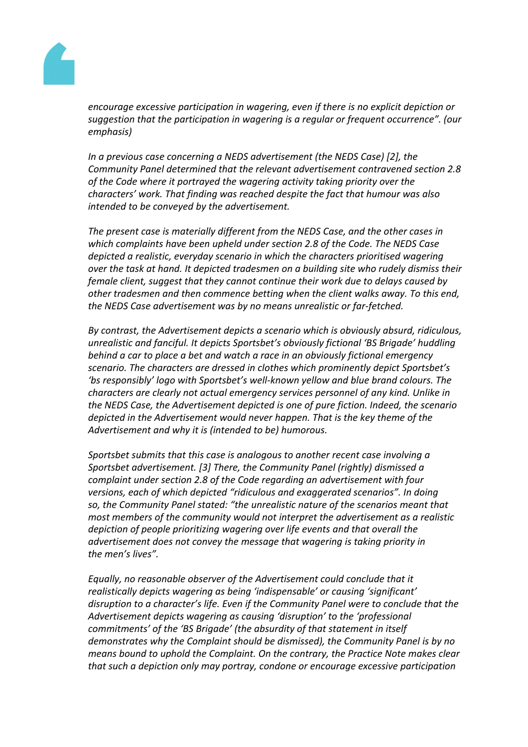

*encourage excessive participation in wagering, even if there is no explicit depiction or suggestion that the participation in wagering is a regular or frequent occurrence". (our emphasis)*

*In a previous case concerning a NEDS advertisement (the NEDS Case) [2], the Community Panel determined that the relevant advertisement contravened section 2.8 of the Code where it portrayed the wagering activity taking priority over the characters' work. That finding was reached despite the fact that humour was also intended to be conveyed by the advertisement.*

*The present case is materially different from the NEDS Case, and the other cases in which complaints have been upheld under section 2.8 of the Code. The NEDS Case depicted a realistic, everyday scenario in which the characters prioritised wagering over the task at hand. It depicted tradesmen on a building site who rudely dismiss their female client, suggest that they cannot continue their work due to delays caused by other tradesmen and then commence betting when the client walks away. To this end, the NEDS Case advertisement was by no means unrealistic or far-fetched.*

*By contrast, the Advertisement depicts a scenario which is obviously absurd, ridiculous, unrealistic and fanciful. It depicts Sportsbet's obviously fictional 'BS Brigade' huddling behind a car to place a bet and watch a race in an obviously fictional emergency scenario. The characters are dressed in clothes which prominently depict Sportsbet's 'bs responsibly' logo with Sportsbet's well-known yellow and blue brand colours. The characters are clearly not actual emergency services personnel of any kind. Unlike in the NEDS Case, the Advertisement depicted is one of pure fiction. Indeed, the scenario depicted in the Advertisement would never happen. That is the key theme of the Advertisement and why it is (intended to be) humorous.*

*Sportsbet submits that this case is analogous to another recent case involving a Sportsbet advertisement. [3] There, the Community Panel (rightly) dismissed a complaint under section 2.8 of the Code regarding an advertisement with four versions, each of which depicted "ridiculous and exaggerated scenarios". In doing so, the Community Panel stated: "the unrealistic nature of the scenarios meant that most members of the community would not interpret the advertisement as a realistic depiction of people prioritizing wagering over life events and that overall the advertisement does not convey the message that wagering is taking priority in the men's lives".*

*Equally, no reasonable observer of the Advertisement could conclude that it realistically depicts wagering as being 'indispensable' or causing 'significant' disruption to a character's life. Even if the Community Panel were to conclude that the Advertisement depicts wagering as causing 'disruption' to the 'professional commitments' of the 'BS Brigade' (the absurdity of that statement in itself demonstrates why the Complaint should be dismissed), the Community Panel is by no means bound to uphold the Complaint. On the contrary, the Practice Note makes clear that such a depiction only may portray, condone or encourage excessive participation*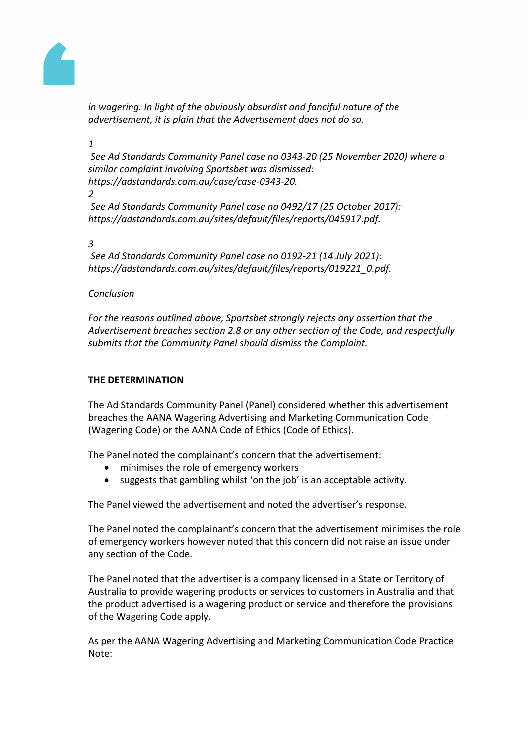

*in wagering. In light of the obviously absurdist and fanciful nature of the advertisement, it is plain that the Advertisement does not do so.*

# *1*

*See Ad Standards Community Panel case no 0343-20 (25 November 2020) where a similar complaint involving Sportsbet was dismissed: https://adstandards.com.au/case/case-0343-20.* 

#### *2*

*See Ad Standards Community Panel case no 0492/17 (25 October 2017): https://adstandards.com.au/sites/default/files/reports/045917.pdf.*

#### *3*

*See Ad Standards Community Panel case no 0192-21 (14 July 2021): https://adstandards.com.au/sites/default/files/reports/019221\_0.pdf.*

# *Conclusion*

*For the reasons outlined above, Sportsbet strongly rejects any assertion that the Advertisement breaches section 2.8 or any other section of the Code, and respectfully submits that the Community Panel should dismiss the Complaint.* 

# **THE DETERMINATION**

The Ad Standards Community Panel (Panel) considered whether this advertisement breaches the AANA Wagering Advertising and Marketing Communication Code (Wagering Code) or the AANA Code of Ethics (Code of Ethics).

The Panel noted the complainant's concern that the advertisement:

- minimises the role of emergency workers
- suggests that gambling whilst 'on the job' is an acceptable activity.

The Panel viewed the advertisement and noted the advertiser's response.

The Panel noted the complainant's concern that the advertisement minimises the role of emergency workers however noted that this concern did not raise an issue under any section of the Code.

The Panel noted that the advertiser is a company licensed in a State or Territory of Australia to provide wagering products or services to customers in Australia and that the product advertised is a wagering product or service and therefore the provisions of the Wagering Code apply.

As per the AANA Wagering Advertising and Marketing Communication Code Practice Note: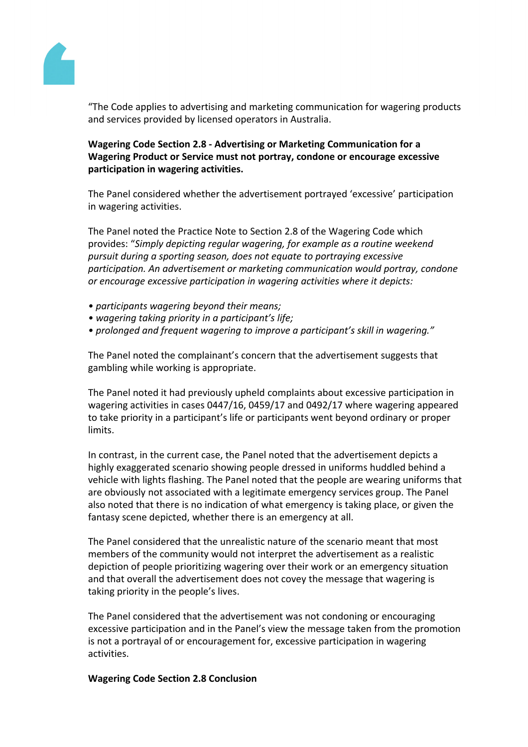

"The Code applies to advertising and marketing communication for wagering products and services provided by licensed operators in Australia.

# **Wagering Code Section 2.8 - Advertising or Marketing Communication for a Wagering Product or Service must not portray, condone or encourage excessive participation in wagering activities.**

The Panel considered whether the advertisement portrayed 'excessive' participation in wagering activities.

The Panel noted the Practice Note to Section 2.8 of the Wagering Code which provides: "*Simply depicting regular wagering, for example as a routine weekend pursuit during a sporting season, does not equate to portraying excessive participation. An advertisement or marketing communication would portray, condone or encourage excessive participation in wagering activities where it depicts:*

- *• participants wagering beyond their means;*
- *• wagering taking priority in a participant's life;*
- *• prolonged and frequent wagering to improve a participant's skill in wagering."*

The Panel noted the complainant's concern that the advertisement suggests that gambling while working is appropriate.

The Panel noted it had previously upheld complaints about excessive participation in wagering activities in cases 0447/16, 0459/17 and 0492/17 where wagering appeared to take priority in a participant's life or participants went beyond ordinary or proper limits.

In contrast, in the current case, the Panel noted that the advertisement depicts a highly exaggerated scenario showing people dressed in uniforms huddled behind a vehicle with lights flashing. The Panel noted that the people are wearing uniforms that are obviously not associated with a legitimate emergency services group. The Panel also noted that there is no indication of what emergency is taking place, or given the fantasy scene depicted, whether there is an emergency at all.

The Panel considered that the unrealistic nature of the scenario meant that most members of the community would not interpret the advertisement as a realistic depiction of people prioritizing wagering over their work or an emergency situation and that overall the advertisement does not covey the message that wagering is taking priority in the people's lives.

The Panel considered that the advertisement was not condoning or encouraging excessive participation and in the Panel's view the message taken from the promotion is not a portrayal of or encouragement for, excessive participation in wagering activities.

#### **Wagering Code Section 2.8 Conclusion**